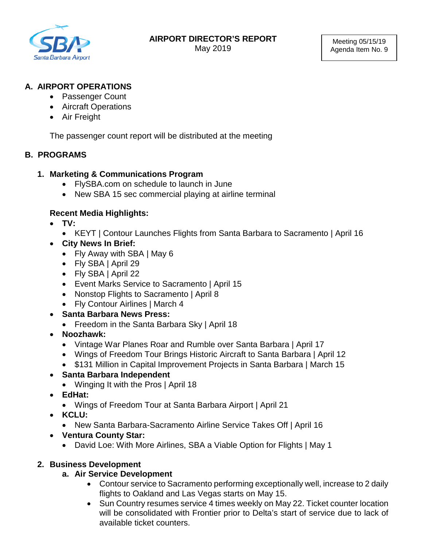

May 2019

## **A. AIRPORT OPERATIONS**

- Passenger Count
- Aircraft Operations
- Air Freight

The passenger count report will be distributed at the meeting

## **B. PROGRAMS**

## **1. Marketing & Communications Program**

- FlySBA.com on schedule to launch in June
- New SBA 15 sec commercial playing at airline terminal

## **Recent Media Highlights:**

- **TV:** 
	- KEYT | Contour Launches Flights from Santa Barbara to Sacramento | April 16
- **City News In Brief:** 
	- Fly Away with SBA | May 6
	- Fly SBA | April 29
	- Fly SBA | April 22
	- Event Marks Service to Sacramento | April 15
	- Nonstop Flights to Sacramento | April 8
	- Fly Contour Airlines | March 4
- **Santa Barbara News Press:**
	- Freedom in the Santa Barbara Sky | April 18
- **Noozhawk:** 
	- Vintage War Planes Roar and Rumble over Santa Barbara | April 17
	- Wings of Freedom Tour Brings Historic Aircraft to Santa Barbara | April 12
	- \$131 Million in Capital Improvement Projects in Santa Barbara | March 15

## • **Santa Barbara Independent**

- Winging It with the Pros | April 18
- **EdHat:** 
	- Wings of Freedom Tour at Santa Barbara Airport | April 21
- **KCLU:** 
	- New Santa Barbara-Sacramento Airline Service Takes Off | April 16
- **Ventura County Star:** 
	- David Loe: With More Airlines, SBA a Viable Option for Flights | May 1

## **2. Business Development**

## **a. Air Service Development**

- Contour service to Sacramento performing exceptionally well, increase to 2 daily flights to Oakland and Las Vegas starts on May 15.
- Sun Country resumes service 4 times weekly on May 22. Ticket counter location will be consolidated with Frontier prior to Delta's start of service due to lack of available ticket counters.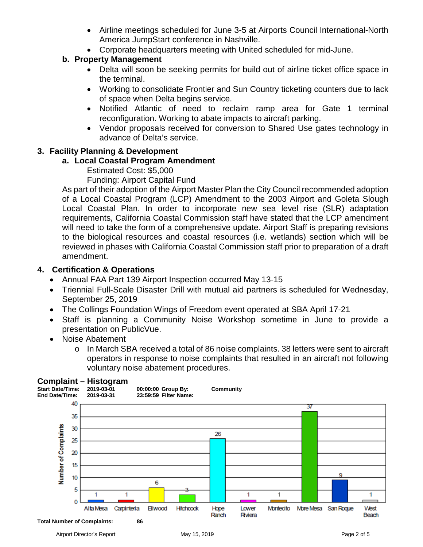- Airline meetings scheduled for June 3-5 at Airports Council International-North America JumpStart conference in Nashville.
- Corporate headquarters meeting with United scheduled for mid-June.

## **b. Property Management**

- Delta will soon be seeking permits for build out of airline ticket office space in the terminal.
- Working to consolidate Frontier and Sun Country ticketing counters due to lack of space when Delta begins service.
- Notified Atlantic of need to reclaim ramp area for Gate 1 terminal reconfiguration. Working to abate impacts to aircraft parking.
- Vendor proposals received for conversion to Shared Use gates technology in advance of Delta's service.

## **3. Facility Planning & Development**

## **a. Local Coastal Program Amendment**

Estimated Cost: \$5,000

Funding: Airport Capital Fund

As part of their adoption of the Airport Master Plan the City Council recommended adoption of a Local Coastal Program (LCP) Amendment to the 2003 Airport and Goleta Slough Local Coastal Plan. In order to incorporate new sea level rise (SLR) adaptation requirements, California Coastal Commission staff have stated that the LCP amendment will need to take the form of a comprehensive update. Airport Staff is preparing revisions to the biological resources and coastal resources (i.e. wetlands) section which will be reviewed in phases with California Coastal Commission staff prior to preparation of a draft amendment.

## **4. Certification & Operations**

- Annual FAA Part 139 Airport Inspection occurred May 13-15
- Triennial Full-Scale Disaster Drill with mutual aid partners is scheduled for Wednesday, September 25, 2019
- The Collings Foundation Wings of Freedom event operated at SBA April 17-21
- Staff is planning a Community Noise Workshop sometime in June to provide a presentation on PublicVue.
- Noise Abatement
	- $\circ$  In March SBA received a total of 86 noise complaints. 38 letters were sent to aircraft operators in response to noise complaints that resulted in an aircraft not following voluntary noise abatement procedures.

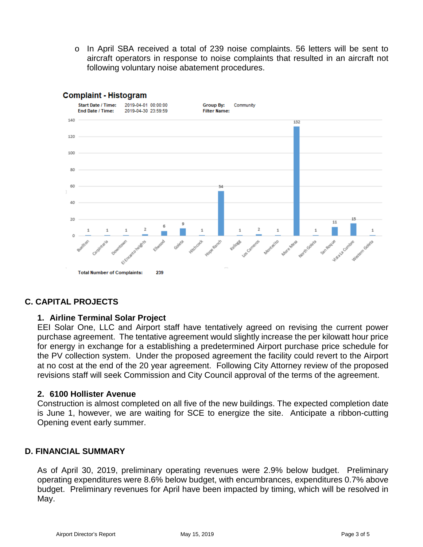o In April SBA received a total of 239 noise complaints. 56 letters will be sent to aircraft operators in response to noise complaints that resulted in an aircraft not following voluntary noise abatement procedures.



#### **Complaint - Histogram**

## **C. CAPITAL PROJECTS**

### **1. Airline Terminal Solar Project**

EEI Solar One, LLC and Airport staff have tentatively agreed on revising the current power purchase agreement. The tentative agreement would slightly increase the per kilowatt hour price for energy in exchange for a establishing a predetermined Airport purchase price schedule for the PV collection system. Under the proposed agreement the facility could revert to the Airport at no cost at the end of the 20 year agreement. Following City Attorney review of the proposed revisions staff will seek Commission and City Council approval of the terms of the agreement.

#### **2. 6100 Hollister Avenue**

Construction is almost completed on all five of the new buildings. The expected completion date is June 1, however, we are waiting for SCE to energize the site. Anticipate a ribbon-cutting Opening event early summer.

### **D. FINANCIAL SUMMARY**

As of April 30, 2019, preliminary operating revenues were 2.9% below budget. Preliminary operating expenditures were 8.6% below budget, with encumbrances, expenditures 0.7% above budget. Preliminary revenues for April have been impacted by timing, which will be resolved in May.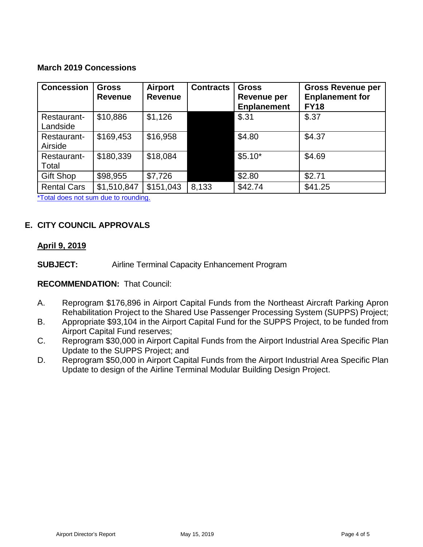## **March 2019 Concessions**

| <b>Concession</b>       | <b>Gross</b><br><b>Revenue</b> | Airport<br><b>Revenue</b> | <b>Contracts</b> | <b>Gross</b><br>Revenue per<br><b>Enplanement</b> | <b>Gross Revenue per</b><br><b>Enplanement for</b><br><b>FY18</b> |
|-------------------------|--------------------------------|---------------------------|------------------|---------------------------------------------------|-------------------------------------------------------------------|
| Restaurant-<br>Landside | \$10,886                       | \$1,126                   |                  | \$.31                                             | \$.37                                                             |
| Restaurant-<br>Airside  | \$169,453                      | \$16,958                  |                  | \$4.80                                            | \$4.37                                                            |
| Restaurant-<br>Total    | \$180,339                      | \$18,084                  |                  | $$5.10*$                                          | \$4.69                                                            |
| <b>Gift Shop</b>        | \$98,955                       | \$7,726                   |                  | \$2.80                                            | \$2.71                                                            |
| <b>Rental Cars</b>      | \$1,510,847                    | \$151,043                 | 8,133            | \$42.74                                           | \$41.25                                                           |

\*Total does not sum due to rounding.

## **E. CITY COUNCIL APPROVALS**

## **April 9, 2019**

**SUBJECT:** Airline Terminal Capacity Enhancement Program

## **RECOMMENDATION:** That Council:

- A. Reprogram \$176,896 in Airport Capital Funds from the Northeast Aircraft Parking Apron Rehabilitation Project to the Shared Use Passenger Processing System (SUPPS) Project;
- B. Appropriate \$93,104 in the Airport Capital Fund for the SUPPS Project, to be funded from Airport Capital Fund reserves;
- C. Reprogram \$30,000 in Airport Capital Funds from the Airport Industrial Area Specific Plan Update to the SUPPS Project; and
- D. Reprogram \$50,000 in Airport Capital Funds from the Airport Industrial Area Specific Plan Update to design of the Airline Terminal Modular Building Design Project.